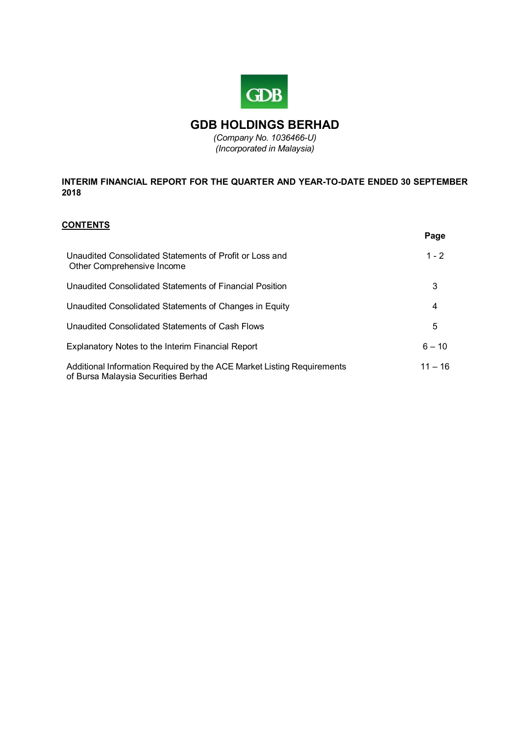

# **GDB HOLDINGS BERHAD**

*(Company No. 1036466-U) (Incorporated in Malaysia)*

# **INTERIM FINANCIAL REPORT FOR THE QUARTER AND YEAR-TO-DATE ENDED 30 SEPTEMBER 2018**

# **CONTENTS**

|                                                                                                               | Page      |
|---------------------------------------------------------------------------------------------------------------|-----------|
| Unaudited Consolidated Statements of Profit or Loss and<br>Other Comprehensive Income                         | $1 - 2$   |
| Unaudited Consolidated Statements of Financial Position                                                       | 3         |
| Unaudited Consolidated Statements of Changes in Equity                                                        | 4         |
| Unaudited Consolidated Statements of Cash Flows                                                               | 5         |
| Explanatory Notes to the Interim Financial Report                                                             | $6 - 10$  |
| Additional Information Required by the ACE Market Listing Requirements<br>of Bursa Malaysia Securities Berhad | $11 - 16$ |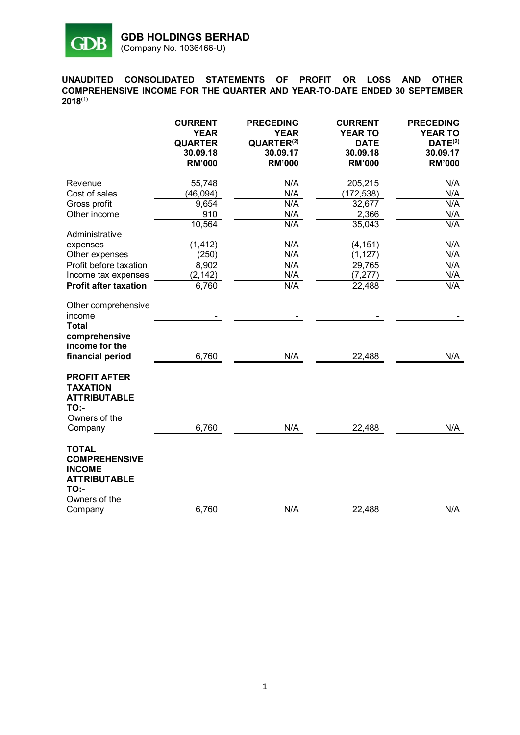

**UNAUDITED CONSOLIDATED STATEMENTS OF PROFIT OR LOSS AND OTHER COMPREHENSIVE INCOME FOR THE QUARTER AND YEAR-TO-DATE ENDED 30 SEPTEMBER 2018** (1)

|                                                                                                              | <b>CURRENT</b><br><b>YEAR</b><br><b>QUARTER</b><br>30.09.18<br><b>RM'000</b> | <b>PRECEDING</b><br><b>YEAR</b><br>QUARTER <sup>(2)</sup><br>30.09.17<br><b>RM'000</b> | <b>CURRENT</b><br><b>YEAR TO</b><br><b>DATE</b><br>30.09.18<br><b>RM'000</b> | <b>PRECEDING</b><br><b>YEAR TO</b><br>DATE <sup>(2)</sup><br>30.09.17<br><b>RM'000</b> |
|--------------------------------------------------------------------------------------------------------------|------------------------------------------------------------------------------|----------------------------------------------------------------------------------------|------------------------------------------------------------------------------|----------------------------------------------------------------------------------------|
| Revenue                                                                                                      | 55,748                                                                       | N/A                                                                                    | 205,215                                                                      | N/A                                                                                    |
| Cost of sales                                                                                                | (46, 094)                                                                    | N/A                                                                                    | (172, 538)                                                                   | N/A                                                                                    |
| Gross profit                                                                                                 | 9,654                                                                        | N/A                                                                                    | 32,677                                                                       | N/A                                                                                    |
| Other income                                                                                                 | 910                                                                          | N/A                                                                                    | 2,366                                                                        | N/A                                                                                    |
|                                                                                                              | 10,564                                                                       | N/A                                                                                    | 35,043                                                                       | N/A                                                                                    |
| Administrative                                                                                               |                                                                              |                                                                                        |                                                                              |                                                                                        |
| expenses                                                                                                     | (1, 412)                                                                     | N/A                                                                                    | (4, 151)                                                                     | N/A                                                                                    |
| Other expenses                                                                                               | (250)                                                                        | N/A                                                                                    | (1, 127)                                                                     | N/A                                                                                    |
| Profit before taxation                                                                                       | 8,902                                                                        | N/A                                                                                    | 29,765                                                                       | N/A                                                                                    |
| Income tax expenses                                                                                          | (2, 142)                                                                     | N/A                                                                                    | (7, 277)                                                                     | N/A                                                                                    |
| <b>Profit after taxation</b>                                                                                 | 6,760                                                                        | N/A                                                                                    | 22,488                                                                       | N/A                                                                                    |
| Other comprehensive<br>income<br><b>Total</b><br>comprehensive<br>income for the                             |                                                                              |                                                                                        |                                                                              |                                                                                        |
| financial period                                                                                             | 6,760                                                                        | N/A                                                                                    | 22,488                                                                       | N/A                                                                                    |
| <b>PROFIT AFTER</b><br><b>TAXATION</b><br><b>ATTRIBUTABLE</b><br><b>TO:-</b><br>Owners of the<br>Company     | 6,760                                                                        | N/A                                                                                    | 22,488                                                                       | N/A                                                                                    |
| <b>TOTAL</b><br><b>COMPREHENSIVE</b><br><b>INCOME</b><br><b>ATTRIBUTABLE</b><br><b>TO:-</b><br>Owners of the |                                                                              |                                                                                        |                                                                              |                                                                                        |
| Company                                                                                                      | 6,760                                                                        | N/A                                                                                    | 22,488                                                                       | N/A                                                                                    |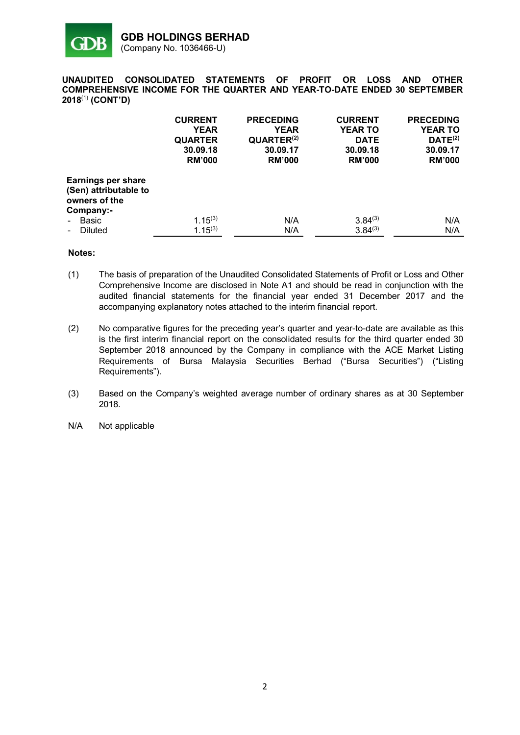

**UNAUDITED CONSOLIDATED STATEMENTS OF PROFIT OR LOSS AND OTHER COMPREHENSIVE INCOME FOR THE QUARTER AND YEAR-TO-DATE ENDED 30 SEPTEMBER** 2018<sup>(1)</sup> (CONT'D)

|                                                                                  | <b>CURRENT</b><br><b>YEAR</b><br><b>QUARTER</b><br>30.09.18<br><b>RM'000</b> | <b>PRECEDING</b><br><b>YEAR</b><br>QUARTER <sup>(2)</sup><br>30.09.17<br><b>RM'000</b> | <b>CURRENT</b><br><b>YEAR TO</b><br><b>DATE</b><br>30.09.18<br><b>RM'000</b> | <b>PRECEDING</b><br><b>YEAR TO</b><br>DATE <sup>(2)</sup><br>30.09.17<br><b>RM'000</b> |
|----------------------------------------------------------------------------------|------------------------------------------------------------------------------|----------------------------------------------------------------------------------------|------------------------------------------------------------------------------|----------------------------------------------------------------------------------------|
| <b>Earnings per share</b><br>(Sen) attributable to<br>owners of the<br>Company:- |                                                                              |                                                                                        |                                                                              |                                                                                        |
| <b>Basic</b>                                                                     | $1.15^{(3)}$                                                                 | N/A                                                                                    | $3.84^{(3)}$                                                                 | N/A                                                                                    |
| Diluted<br>$\sim$                                                                | $1.15^{(3)}$                                                                 | N/A                                                                                    | $3.84^{(3)}$                                                                 | N/A                                                                                    |

- (1) The basis of preparation of the Unaudited Consolidated Statements of Profit or Loss and Other Comprehensive Income are disclosed in Note A1 and should be read in conjunction with the audited financial statements for the financial year ended 31 December 2017 and the accompanying explanatory notes attached to the interim financial report.
- (2) No comparative figures for the preceding year's quarter and year-to-date are available as this is the first interim financial report on the consolidated results for the third quarter ended 30 September 2018 announced by the Company in compliance with the ACE Market Listing Requirements of Bursa Malaysia Securities Berhad ("Bursa Securities") ("Listing Requirements").
- (3) Based on the Company's weighted average number of ordinary shares as at 30 September 2018.
- N/A Not applicable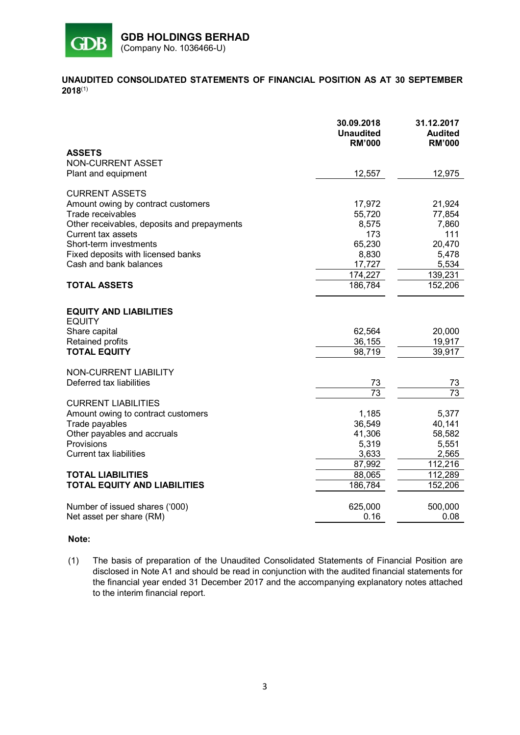

## **UNAUDITED CONSOLIDATED STATEMENTS OF FINANCIAL POSITION AS AT 30 SEPTEMBER 2018**(1)

|                                                | 30.09.2018<br><b>Unaudited</b><br><b>RM'000</b> | 31.12.2017<br><b>Audited</b><br><b>RM'000</b> |
|------------------------------------------------|-------------------------------------------------|-----------------------------------------------|
| <b>ASSETS</b>                                  |                                                 |                                               |
| <b>NON-CURRENT ASSET</b>                       |                                                 |                                               |
| Plant and equipment                            | 12,557                                          | 12,975                                        |
| <b>CURRENT ASSETS</b>                          |                                                 |                                               |
| Amount owing by contract customers             | 17,972                                          | 21,924                                        |
| Trade receivables                              | 55,720                                          | 77,854                                        |
| Other receivables, deposits and prepayments    | 8,575                                           | 7,860                                         |
| Current tax assets                             | 173                                             | 111                                           |
| Short-term investments                         | 65,230                                          | 20,470                                        |
| Fixed deposits with licensed banks             | 8,830                                           | 5,478                                         |
| Cash and bank balances                         | 17,727                                          | 5,534                                         |
|                                                | 174,227                                         | 139,231                                       |
| <b>TOTAL ASSETS</b>                            | 186,784                                         | 152,206                                       |
| <b>EQUITY AND LIABILITIES</b><br><b>EQUITY</b> |                                                 |                                               |
| Share capital                                  | 62,564                                          | 20,000                                        |
| Retained profits                               | 36,155                                          | 19,917                                        |
| <b>TOTAL EQUITY</b>                            | 98,719                                          | 39,917                                        |
| <b>NON-CURRENT LIABILITY</b>                   |                                                 |                                               |
| Deferred tax liabilities                       | 73                                              | <u>73</u>                                     |
|                                                | $\overline{73}$                                 | $\overline{73}$                               |
| <b>CURRENT LIABILITIES</b>                     |                                                 |                                               |
| Amount owing to contract customers             | 1,185                                           | 5,377                                         |
| Trade payables                                 | 36,549                                          | 40,141                                        |
| Other payables and accruals                    | 41,306                                          | 58,582                                        |
| Provisions                                     | 5,319                                           | 5,551                                         |
| <b>Current tax liabilities</b>                 | 3,633                                           | 2,565                                         |
|                                                | 87,992                                          | 112,216                                       |
| <b>TOTAL LIABILITIES</b>                       | 88,065                                          | 112,289                                       |
| <b>TOTAL EQUITY AND LIABILITIES</b>            | 186,784                                         | 152,206                                       |
| Number of issued shares ('000)                 | 625,000                                         | 500,000                                       |
| Net asset per share (RM)                       | 0.16                                            | 0.08                                          |

#### **Note:**

(1) The basis of preparation of the Unaudited Consolidated Statements of Financial Position are disclosed in Note A1 and should be read in conjunction with the audited financial statements for the financial year ended 31 December 2017 and the accompanying explanatory notes attached to the interim financial report.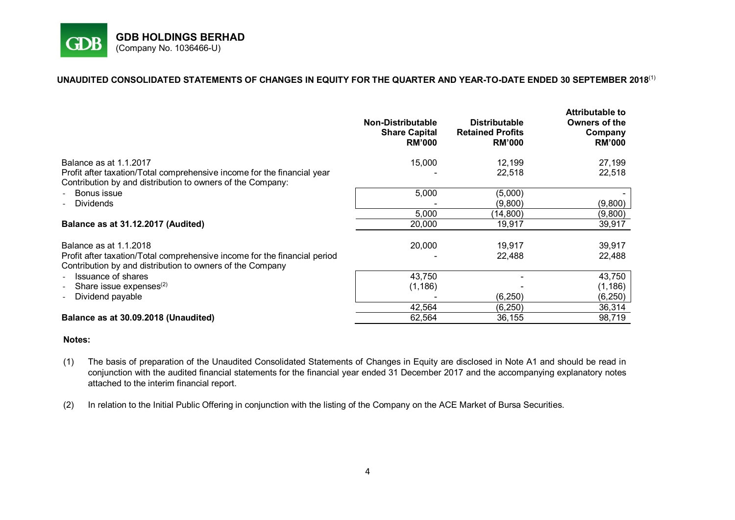

## **UNAUDITED CONSOLIDATED STATEMENTS OF CHANGES IN EQUITY FOR THE QUARTER AND YEAR-TO-DATE ENDED 30 SEPTEMBER 2018** (1)

|                                                                                                                                        | <b>Non-Distributable</b><br><b>Share Capital</b><br><b>RM'000</b> | <b>Distributable</b><br><b>Retained Profits</b><br><b>RM'000</b> | Attributable to<br>Owners of the<br>Company<br><b>RM'000</b> |
|----------------------------------------------------------------------------------------------------------------------------------------|-------------------------------------------------------------------|------------------------------------------------------------------|--------------------------------------------------------------|
| Balance as at 1.1.2017                                                                                                                 | 15,000                                                            | 12,199                                                           | 27,199                                                       |
| Profit after taxation/Total comprehensive income for the financial year<br>Contribution by and distribution to owners of the Company:  |                                                                   | 22,518                                                           | 22,518                                                       |
| Bonus issue                                                                                                                            | 5,000                                                             | (5,000)                                                          |                                                              |
| <b>Dividends</b><br>$\blacksquare$                                                                                                     |                                                                   | (9,800)                                                          | (9,800)                                                      |
|                                                                                                                                        | 5,000                                                             | (14, 800)                                                        | (9,800)                                                      |
| Balance as at 31.12.2017 (Audited)                                                                                                     | 20,000                                                            | 19,917                                                           | 39,917                                                       |
| Balance as at 1.1.2018                                                                                                                 | 20,000                                                            | 19,917                                                           | 39,917                                                       |
| Profit after taxation/Total comprehensive income for the financial period<br>Contribution by and distribution to owners of the Company |                                                                   | 22,488                                                           | 22,488                                                       |
| Issuance of shares<br>$\blacksquare$                                                                                                   | 43,750                                                            |                                                                  | 43,750                                                       |
| Share issue expenses $(2)$<br>$\overline{\phantom{0}}$                                                                                 | (1, 186)                                                          |                                                                  | (1, 186)                                                     |
| Dividend payable                                                                                                                       |                                                                   | (6, 250)                                                         | (6, 250)                                                     |
|                                                                                                                                        | 42,564                                                            | (6, 250)                                                         | 36,314                                                       |
| Balance as at 30.09.2018 (Unaudited)                                                                                                   | 62,564                                                            | 36,155                                                           | 98,719                                                       |

- (1) The basis of preparation of the Unaudited Consolidated Statements of Changes in Equity are disclosed in Note A1 and should be read in conjunction with the audited financial statements for the financial year ended 31 December 2017 and the accompanying explanatory notes attached to the interim financial report.
- (2) In relation to the Initial Public Offering in conjunction with the listing of the Company on the ACE Market of Bursa Securities.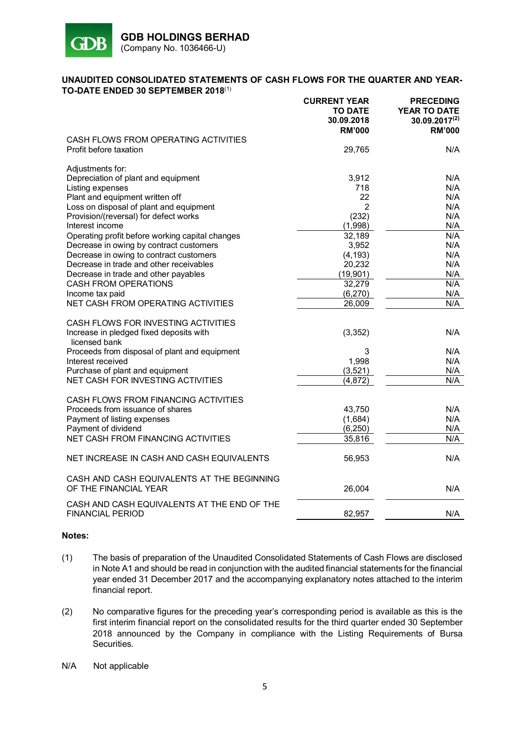

## **UNAUDITED CONSOLIDATED STATEMENTS OF CASH FLOWS FOR THE QUARTER AND YEAR-TO-DATE ENDED 30 SEPTEMBER 2018** (1)

|                                                                                                                                                                                                                                                                                                                                                                                                                                                                                                     | <b>CURRENT YEAR</b><br><b>TO DATE</b><br>30.09.2018<br><b>RM'000</b>                                                    | <b>PRECEDING</b><br><b>YEAR TO DATE</b><br>$30.09.2017^{(2)}$<br><b>RM'000</b>          |
|-----------------------------------------------------------------------------------------------------------------------------------------------------------------------------------------------------------------------------------------------------------------------------------------------------------------------------------------------------------------------------------------------------------------------------------------------------------------------------------------------------|-------------------------------------------------------------------------------------------------------------------------|-----------------------------------------------------------------------------------------|
| CASH FLOWS FROM OPERATING ACTIVITIES<br>Profit before taxation                                                                                                                                                                                                                                                                                                                                                                                                                                      | 29,765                                                                                                                  | N/A                                                                                     |
| Adjustments for:<br>Depreciation of plant and equipment<br>Listing expenses<br>Plant and equipment written off<br>Loss on disposal of plant and equipment<br>Provision/(reversal) for defect works<br>Interest income<br>Operating profit before working capital changes<br>Decrease in owing by contract customers<br>Decrease in owing to contract customers<br>Decrease in trade and other receivables<br>Decrease in trade and other payables<br><b>CASH FROM OPERATIONS</b><br>Income tax paid | 3,912<br>718<br>22<br>2<br>(232)<br>(1,998)<br>32,189<br>3,952<br>(4, 193)<br>20,232<br>(19, 901)<br>32,279<br>(6, 270) | N/A<br>N/A<br>N/A<br>N/A<br>N/A<br>N/A<br>N/A<br>N/A<br>N/A<br>N/A<br>N/A<br>N/A<br>N/A |
| NET CASH FROM OPERATING ACTIVITIES                                                                                                                                                                                                                                                                                                                                                                                                                                                                  | 26,009                                                                                                                  | N/A                                                                                     |
| CASH FLOWS FOR INVESTING ACTIVITIES<br>Increase in pledged fixed deposits with<br>licensed bank<br>Proceeds from disposal of plant and equipment<br>Interest received<br>Purchase of plant and equipment<br><b>NET CASH FOR INVESTING ACTIVITIES</b>                                                                                                                                                                                                                                                | (3,352)<br>3<br>1,998<br>(3,521)<br>(4, 872)                                                                            | N/A<br>N/A<br>N/A<br>N/A<br>N/A                                                         |
| CASH FLOWS FROM FINANCING ACTIVITIES<br>Proceeds from issuance of shares<br>Payment of listing expenses<br>Payment of dividend<br>NET CASH FROM FINANCING ACTIVITIES                                                                                                                                                                                                                                                                                                                                | 43,750<br>(1,684)<br>(6, 250)<br>35,816                                                                                 | N/A<br>N/A<br>N/A<br>N/A                                                                |
| NET INCREASE IN CASH AND CASH EQUIVALENTS                                                                                                                                                                                                                                                                                                                                                                                                                                                           | 56,953                                                                                                                  | N/A                                                                                     |
| CASH AND CASH EQUIVALENTS AT THE BEGINNING<br>OF THE FINANCIAL YEAR                                                                                                                                                                                                                                                                                                                                                                                                                                 | 26,004                                                                                                                  | N/A                                                                                     |
| CASH AND CASH EQUIVALENTS AT THE END OF THE<br><b>FINANCIAL PERIOD</b>                                                                                                                                                                                                                                                                                                                                                                                                                              | 82,957                                                                                                                  | N/A                                                                                     |
|                                                                                                                                                                                                                                                                                                                                                                                                                                                                                                     |                                                                                                                         |                                                                                         |

- (1) The basis of preparation of the Unaudited Consolidated Statements of Cash Flows are disclosed in Note A1 and should be read in conjunction with the audited financial statements for the financial year ended 31 December 2017 and the accompanying explanatory notes attached to the interim financial report.
- (2) No comparative figures for the preceding year's corresponding period is available as this is the first interim financial report on the consolidated results for the third quarter ended 30 September 2018 announced by the Company in compliance with the Listing Requirements of Bursa Securities.
- N/A Not applicable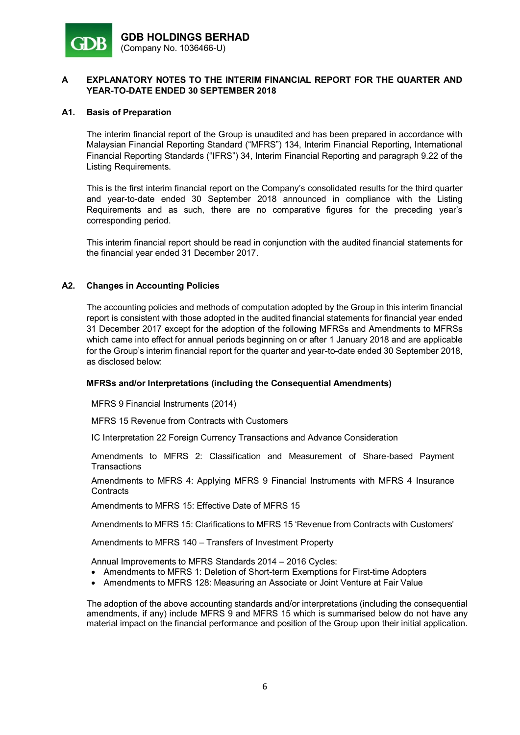

## **A1. Basis of Preparation**

The interim financial report of the Group is unaudited and has been prepared in accordance with Malaysian Financial Reporting Standard ("MFRS") 134, Interim Financial Reporting, International Financial Reporting Standards ("IFRS") 34, Interim Financial Reporting and paragraph 9.22 of the Listing Requirements.

This is the first interim financial report on the Company's consolidated results for the third quarter and year-to-date ended 30 September 2018 announced in compliance with the Listing Requirements and as such, there are no comparative figures for the preceding year's corresponding period.

This interim financial report should be read in conjunction with the audited financial statements for the financial year ended 31 December 2017.

## **A2. Changes in Accounting Policies**

The accounting policies and methods of computation adopted by the Group in this interim financial report is consistent with those adopted in the audited financial statements for financial year ended 31 December 2017 except for the adoption of the following MFRSs and Amendments to MFRSs which came into effect for annual periods beginning on or after 1 January 2018 and are applicable for the Group's interim financial report for the quarter and year-to-date ended 30 September 2018, as disclosed below:

## **MFRSs and/or Interpretations (including the Consequential Amendments)**

MFRS 9 Financial Instruments (2014)

MFRS 15 Revenue from Contracts with Customers

IC Interpretation 22 Foreign Currency Transactions and Advance Consideration

Amendments to MFRS 2: Classification and Measurement of Share-based Payment **Transactions** 

Amendments to MFRS 4: Applying MFRS 9 Financial Instruments with MFRS 4 Insurance **Contracts** 

Amendments to MFRS 15: Effective Date of MFRS 15

Amendments to MFRS 15: Clarifications to MFRS 15 'Revenue from Contracts with Customers'

Amendments to MFRS 140 – Transfers of Investment Property

Annual Improvements to MFRS Standards 2014 – 2016 Cycles:

- Amendments to MFRS 1: Deletion of Short-term Exemptions for First-time Adopters
- Amendments to MFRS 128: Measuring an Associate or Joint Venture at Fair Value

The adoption of the above accounting standards and/or interpretations (including the consequential amendments, if any) include MFRS 9 and MFRS 15 which is summarised below do not have any material impact on the financial performance and position of the Group upon their initial application.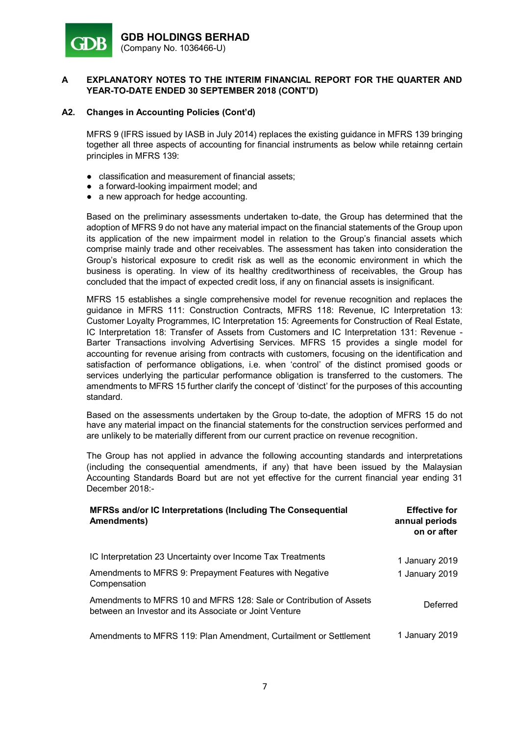

## **A2. Changes in Accounting Policies (Cont'd)**

MFRS 9 (IFRS issued by IASB in July 2014) replaces the existing guidance in MFRS 139 bringing together all three aspects of accounting for financial instruments as below while retainng certain principles in MFRS 139:

- classification and measurement of financial assets;
- a forward-looking impairment model; and
- a new approach for hedge accounting.

Based on the preliminary assessments undertaken to-date, the Group has determined that the adoption of MFRS 9 do not have any material impact on the financial statements of the Group upon its application of the new impairment model in relation to the Group's financial assets which comprise mainly trade and other receivables. The assessment has taken into consideration the Group's historical exposure to credit risk as well as the economic environment in which the business is operating. In view of its healthy creditworthiness of receivables, the Group has concluded that the impact of expected credit loss, if any on financial assets is insignificant.

MFRS 15 establishes a single comprehensive model for revenue recognition and replaces the guidance in MFRS 111: Construction Contracts, MFRS 118: Revenue, IC Interpretation 13: Customer Loyalty Programmes, IC Interpretation 15: Agreements for Construction of Real Estate, IC Interpretation 18: Transfer of Assets from Customers and IC Interpretation 131: Revenue - Barter Transactions involving Advertising Services. MFRS 15 provides a single model for accounting for revenue arising from contracts with customers, focusing on the identification and satisfaction of performance obligations, i.e. when 'control' of the distinct promised goods or services underlying the particular performance obligation is transferred to the customers. The amendments to MFRS 15 further clarify the concept of 'distinct' for the purposes of this accounting standard.

Based on the assessments undertaken by the Group to-date, the adoption of MFRS 15 do not have any material impact on the financial statements for the construction services performed and are unlikely to be materially different from our current practice on revenue recognition.

The Group has not applied in advance the following accounting standards and interpretations (including the consequential amendments, if any) that have been issued by the Malaysian Accounting Standards Board but are not yet effective for the current financial year ending 31 December 2018:-

| MFRSs and/or IC Interpretations (Including The Consequential<br>Amendments)                                                  | <b>Effective for</b><br>annual periods<br>on or after |
|------------------------------------------------------------------------------------------------------------------------------|-------------------------------------------------------|
| IC Interpretation 23 Uncertainty over Income Tax Treatments                                                                  | 1 January 2019                                        |
| Amendments to MFRS 9: Prepayment Features with Negative<br>Compensation                                                      | 1 January 2019                                        |
| Amendments to MFRS 10 and MFRS 128: Sale or Contribution of Assets<br>between an Investor and its Associate or Joint Venture | Deferred                                              |
| Amendments to MFRS 119: Plan Amendment, Curtailment or Settlement                                                            | 1 January 2019                                        |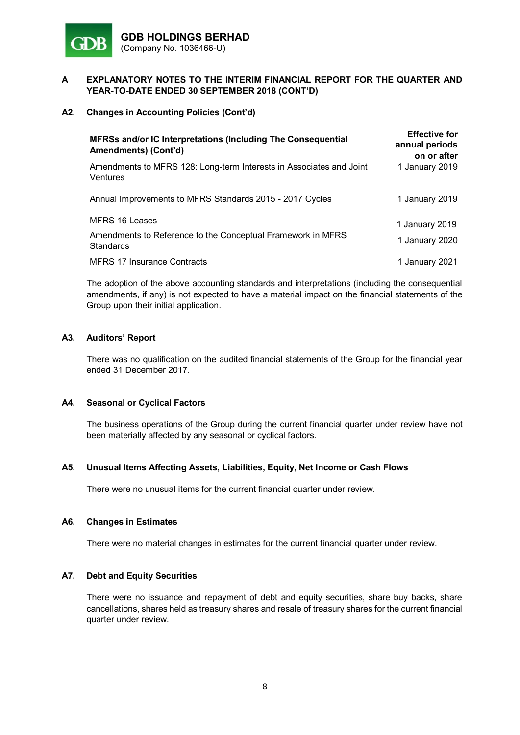

## **A2. Changes in Accounting Policies (Cont'd)**

| MFRSs and/or IC Interpretations (Including The Consequential<br>Amendments) (Cont'd)       | <b>Effective for</b><br>annual periods<br>on or after |
|--------------------------------------------------------------------------------------------|-------------------------------------------------------|
| Amendments to MFRS 128: Long-term Interests in Associates and Joint<br>Ventures            | 1 January 2019                                        |
| Annual Improvements to MFRS Standards 2015 - 2017 Cycles                                   | 1 January 2019                                        |
| MFRS 16 Leases<br>Amendments to Reference to the Conceptual Framework in MFRS<br>Standards | 1 January 2019<br>1 January 2020                      |
| <b>MFRS 17 Insurance Contracts</b>                                                         | 1 January 2021                                        |

The adoption of the above accounting standards and interpretations (including the consequential amendments, if any) is not expected to have a material impact on the financial statements of the Group upon their initial application.

## **A3. Auditors' Report**

There was no qualification on the audited financial statements of the Group for the financial year ended 31 December 2017.

#### **A4. Seasonal or Cyclical Factors**

The business operations of the Group during the current financial quarter under review have not been materially affected by any seasonal or cyclical factors.

#### **A5. Unusual Items Affecting Assets, Liabilities, Equity, Net Income or Cash Flows**

There were no unusual items for the current financial quarter under review.

#### **A6. Changes in Estimates**

There were no material changes in estimates for the current financial quarter under review.

#### **A7. Debt and Equity Securities**

There were no issuance and repayment of debt and equity securities, share buy backs, share cancellations, shares held as treasury shares and resale of treasury shares for the current financial quarter under review.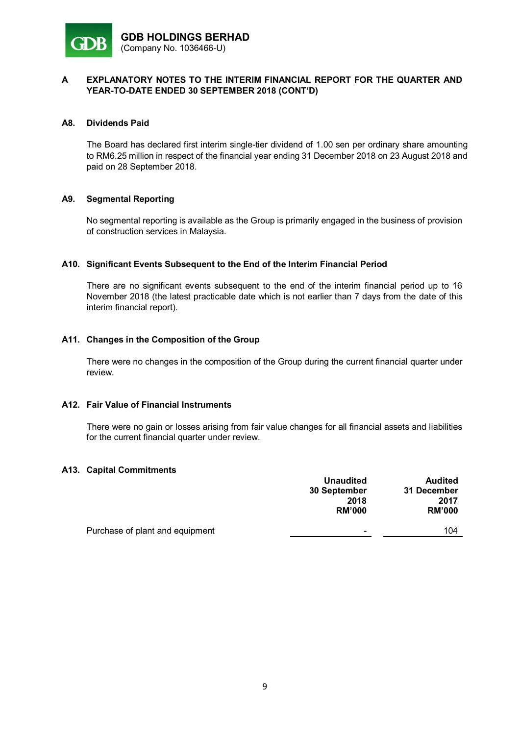

#### **A8. Dividends Paid**

The Board has declared first interim single-tier dividend of 1.00 sen per ordinary share amounting to RM6.25 million in respect of the financial year ending 31 December 2018 on 23 August 2018 and paid on 28 September 2018.

## **A9. Segmental Reporting**

No segmental reporting is available as the Group is primarily engaged in the business of provision of construction services in Malaysia.

## **A10. Significant Events Subsequent to the End of the Interim Financial Period**

There are no significant events subsequent to the end of the interim financial period up to 16 November 2018 (the latest practicable date which is not earlier than 7 days from the date of this interim financial report).

## **A11. Changes in the Composition of the Group**

There were no changes in the composition of the Group during the current financial quarter under review.

#### **A12. Fair Value of Financial Instruments**

There were no gain or losses arising from fair value changes for all financial assets and liabilities for the current financial quarter under review.

#### **A13. Capital Commitments**

|                                 | <b>Unaudited</b><br>30 September<br>2018<br><b>RM'000</b> | <b>Audited</b><br>31 December<br>2017<br><b>RM'000</b> |
|---------------------------------|-----------------------------------------------------------|--------------------------------------------------------|
| Purchase of plant and equipment | $\overline{\phantom{a}}$                                  | 104                                                    |
|                                 |                                                           |                                                        |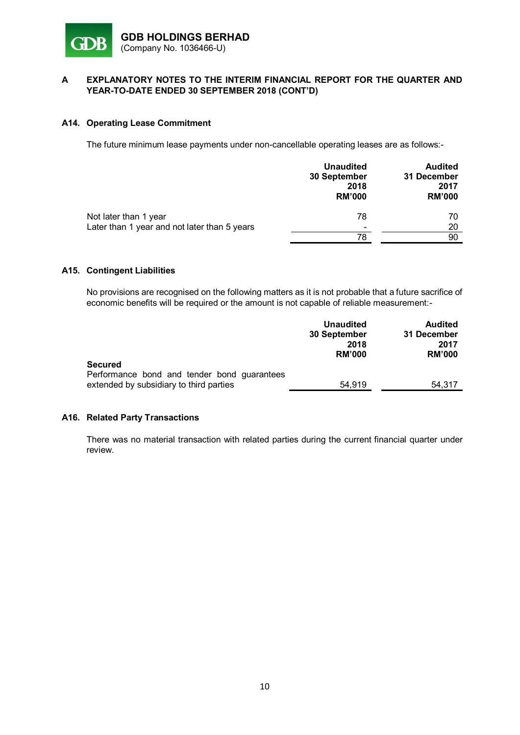

## **A14. Operating Lease Commitment**

The future minimum lease payments under non-cancellable operating leases are as follows:-

| <b>Unaudited</b><br>30 September<br>2018<br><b>RM'000</b>                | <b>Audited</b><br>31 December<br>2017<br><b>RM'000</b> |
|--------------------------------------------------------------------------|--------------------------------------------------------|
| 78<br>Not later than 1 year                                              | 70                                                     |
| Later than 1 year and not later than 5 years<br>$\overline{\phantom{a}}$ | 20                                                     |
| 78                                                                       | 90                                                     |

# **A15. Contingent Liabilities**

No provisions are recognised on the following matters as it is not probable that a future sacrifice of economic benefits will be required or the amount is not capable of reliable measurement:-

|                                                                                        | <b>Unaudited</b><br>30 September<br>2018<br><b>RM'000</b> | <b>Audited</b><br>31 December<br>2017<br><b>RM'000</b> |
|----------------------------------------------------------------------------------------|-----------------------------------------------------------|--------------------------------------------------------|
| <b>Secured</b>                                                                         |                                                           |                                                        |
| Performance bond and tender bond guarantees<br>extended by subsidiary to third parties | 54.919                                                    | 54.317                                                 |

## **A16. Related Party Transactions**

There was no material transaction with related parties during the current financial quarter under review.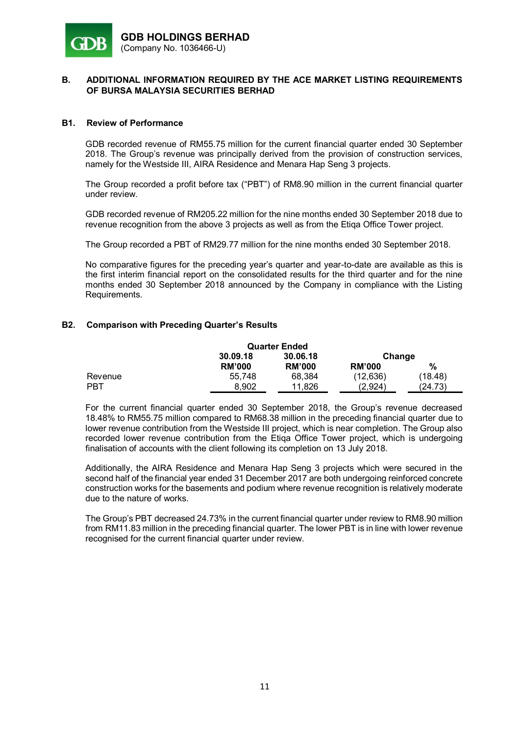

#### **B1. Review of Performance**

GDB recorded revenue of RM55.75 million for the current financial quarter ended 30 September 2018. The Group's revenue was principally derived from the provision of construction services, namely for the Westside III, AIRA Residence and Menara Hap Seng 3 projects.

The Group recorded a profit before tax ("PBT") of RM8.90 million in the current financial quarter under review.

GDB recorded revenue of RM205.22 million for the nine months ended 30 September 2018 due to revenue recognition from the above 3 projects as well as from the Etiqa Office Tower project.

The Group recorded a PBT of RM29.77 million for the nine months ended 30 September 2018.

No comparative figures for the preceding year's quarter and year-to-date are available as this is the first interim financial report on the consolidated results for the third quarter and for the nine months ended 30 September 2018 announced by the Company in compliance with the Listing Requirements.

## **B2. Comparison with Preceding Quarter's Results**

| <b>Quarter Ended</b> |               |               |               |         |
|----------------------|---------------|---------------|---------------|---------|
|                      | 30.09.18      | 30.06.18      | Change        |         |
|                      | <b>RM'000</b> | <b>RM'000</b> | <b>RM'000</b> | %       |
| Revenue              | 55.748        | 68.384        | (12.636)      | (18.48) |
| <b>PBT</b>           | 8.902         | 11.826        | (2,924)       | (24.73) |

For the current financial quarter ended 30 September 2018, the Group's revenue decreased 18.48% to RM55.75 million compared to RM68.38 million in the preceding financial quarter due to lower revenue contribution from the Westside III project, which is near completion. The Group also recorded lower revenue contribution from the Etiqa Office Tower project, which is undergoing finalisation of accounts with the client following its completion on 13 July 2018.

Additionally, the AIRA Residence and Menara Hap Seng 3 projects which were secured in the second half of the financial year ended 31 December 2017 are both undergoing reinforced concrete construction works for the basements and podium where revenue recognition is relatively moderate due to the nature of works.

The Group's PBT decreased 24.73% in the current financial quarter under review to RM8.90 million from RM11.83 million in the preceding financial quarter. The lower PBT is in line with lower revenue recognised for the current financial quarter under review.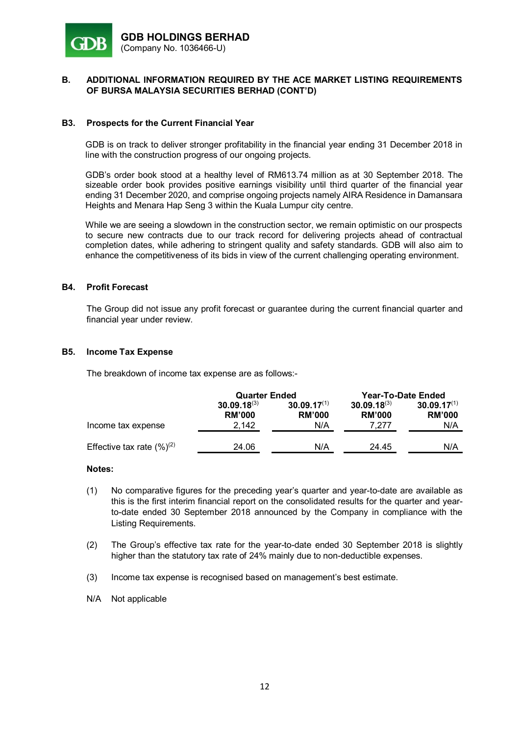

#### **B3. Prospects for the Current Financial Year**

GDB is on track to deliver stronger profitability in the financial year ending 31 December 2018 in line with the construction progress of our ongoing projects.

GDB's order book stood at a healthy level of RM613.74 million as at 30 September 2018. The sizeable order book provides positive earnings visibility until third quarter of the financial year ending 31 December 2020, and comprise ongoing projects namely AIRA Residence in Damansara Heights and Menara Hap Seng 3 within the Kuala Lumpur city centre.

While we are seeing a slowdown in the construction sector, we remain optimistic on our prospects to secure new contracts due to our track record for delivering projects ahead of contractual completion dates, while adhering to stringent quality and safety standards. GDB will also aim to enhance the competitiveness of its bids in view of the current challenging operating environment.

#### **B4. Profit Forecast**

The Group did not issue any profit forecast or guarantee during the current financial quarter and financial year under review.

#### **B5. Income Tax Expense**

The breakdown of income tax expense are as follows:-

|                                 | <b>Quarter Ended</b>              |                                   | <b>Year-To-Date Ended</b>         |                                   |
|---------------------------------|-----------------------------------|-----------------------------------|-----------------------------------|-----------------------------------|
|                                 | $30.09.18^{(3)}$<br><b>RM'000</b> | $30.09.17^{(1)}$<br><b>RM'000</b> | $30.09.18^{(3)}$<br><b>RM'000</b> | $30.09.17^{(1)}$<br><b>RM'000</b> |
| Income tax expense              | 2.142                             | N/A                               | 7.277                             | N/A                               |
| Effective tax rate $(\%)^{(2)}$ | 24.06                             | N/A                               | 24.45                             | N/A                               |

- (1) No comparative figures for the preceding year's quarter and year-to-date are available as this is the first interim financial report on the consolidated results for the quarter and yearto-date ended 30 September 2018 announced by the Company in compliance with the Listing Requirements.
- (2) The Group's effective tax rate for the year-to-date ended 30 September 2018 is slightly higher than the statutory tax rate of 24% mainly due to non-deductible expenses.
- (3) Income tax expense is recognised based on management's best estimate.
- N/A Not applicable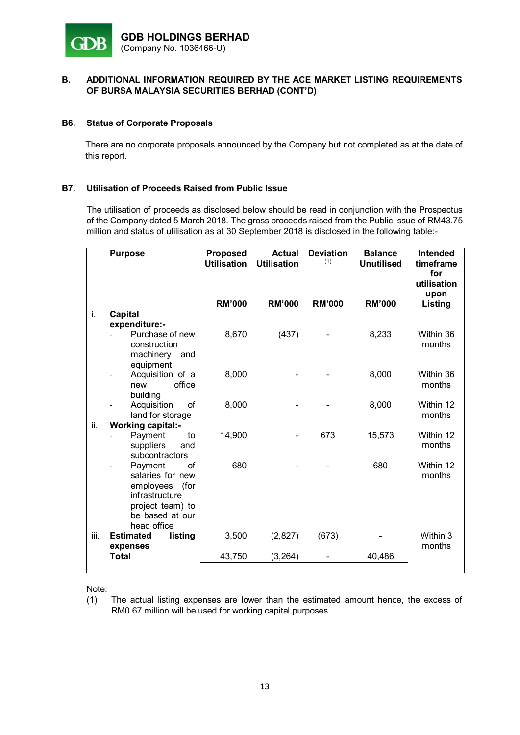

## **B6. Status of Corporate Proposals**

There are no corporate proposals announced by the Company but not completed as at the date of this report.

## **B7. Utilisation of Proceeds Raised from Public Issue**

The utilisation of proceeds as disclosed below should be read in conjunction with the Prospectus of the Company dated 5 March 2018. The gross proceeds raised from the Public Issue of RM43.75 million and status of utilisation as at 30 September 2018 is disclosed in the following table:-

|      | <b>Purpose</b>                                                                                                                 | <b>Proposed</b><br><b>Utilisation</b> | <b>Actual</b><br><b>Utilisation</b> | <b>Deviation</b><br>(1) | <b>Balance</b><br><b>Unutilised</b> | <b>Intended</b><br>timeframe<br>for<br>utilisation<br>upon |
|------|--------------------------------------------------------------------------------------------------------------------------------|---------------------------------------|-------------------------------------|-------------------------|-------------------------------------|------------------------------------------------------------|
|      |                                                                                                                                | <b>RM'000</b>                         | <b>RM'000</b>                       | <b>RM'000</b>           | <b>RM'000</b>                       | Listing                                                    |
| j.   | <b>Capital</b>                                                                                                                 |                                       |                                     |                         |                                     |                                                            |
|      | expenditure:-                                                                                                                  |                                       |                                     |                         |                                     |                                                            |
|      | Purchase of new<br>construction<br>machinery<br>and<br>equipment                                                               | 8,670                                 | (437)                               |                         | 8,233                               | Within 36<br>months                                        |
|      | Acquisition of a<br>office<br>new<br>building                                                                                  | 8,000                                 |                                     |                         | 8,000                               | Within 36<br>months                                        |
|      | Acquisition<br>of<br>land for storage                                                                                          | 8,000                                 |                                     |                         | 8,000                               | Within 12<br>months                                        |
| ii.  | <b>Working capital:-</b>                                                                                                       |                                       |                                     |                         |                                     |                                                            |
|      | Payment<br>to<br>suppliers<br>and<br>subcontractors                                                                            | 14,900                                |                                     | 673                     | 15,573                              | Within 12<br>months                                        |
|      | Payment<br>Ωf<br>salaries for new<br>employees<br>(for<br>infrastructure<br>project team) to<br>be based at our<br>head office | 680                                   |                                     |                         | 680                                 | Within 12<br>months                                        |
| iii. | listing<br><b>Estimated</b>                                                                                                    | 3,500                                 | (2,827)                             | (673)                   |                                     | Within 3                                                   |
|      | expenses                                                                                                                       |                                       |                                     |                         |                                     | months                                                     |
|      | <b>Total</b>                                                                                                                   | 43,750                                | (3, 264)                            |                         | 40,486                              |                                                            |
|      |                                                                                                                                |                                       |                                     |                         |                                     |                                                            |

Note:

(1) The actual listing expenses are lower than the estimated amount hence, the excess of RM0.67 million will be used for working capital purposes.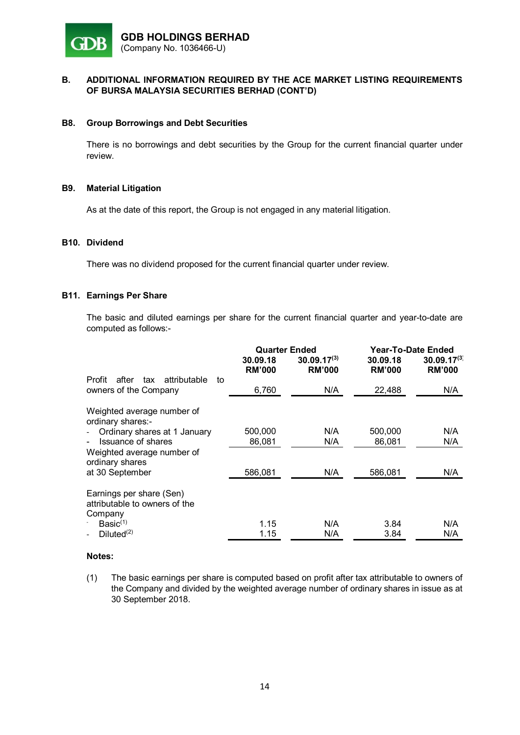

#### **B8. Group Borrowings and Debt Securities**

There is no borrowings and debt securities by the Group for the current financial quarter under review.

#### **B9. Material Litigation**

As at the date of this report, the Group is not engaged in any material litigation.

#### **B10. Dividend**

There was no dividend proposed for the current financial quarter under review.

#### **B11. Earnings Per Share**

The basic and diluted earnings per share for the current financial quarter and year-to-date are computed as follows:-

|                                                                       | <b>Quarter Ended</b>      |                                   | Year-To-Date Ended        |                                   |
|-----------------------------------------------------------------------|---------------------------|-----------------------------------|---------------------------|-----------------------------------|
|                                                                       | 30.09.18<br><b>RM'000</b> | $30.09.17^{(3)}$<br><b>RM'000</b> | 30.09.18<br><b>RM'000</b> | $30.09.17^{(3)}$<br><b>RM'000</b> |
| Profit<br>after<br>attributable<br>tax<br>to<br>owners of the Company | 6,760                     | N/A                               | 22,488                    | N/A                               |
| Weighted average number of<br>ordinary shares:-                       |                           |                                   |                           |                                   |
| Ordinary shares at 1 January<br>$\overline{\phantom{a}}$              | 500,000                   | N/A                               | 500,000                   | N/A                               |
| Issuance of shares                                                    | 86,081                    | N/A                               | 86,081                    | N/A                               |
| Weighted average number of<br>ordinary shares                         |                           |                                   |                           |                                   |
| at 30 September                                                       | 586,081                   | N/A                               | 586.081                   | N/A                               |
| Earnings per share (Sen)<br>attributable to owners of the             |                           |                                   |                           |                                   |
| Company<br>Basic <sup>(1)</sup>                                       | 1.15                      | N/A                               | 3.84                      | N/A                               |
| Diluted <sup>(2)</sup>                                                | 1.15                      | N/A                               | 3.84                      | N/A                               |
|                                                                       |                           |                                   |                           |                                   |

#### **Notes:**

(1) The basic earnings per share is computed based on profit after tax attributable to owners of the Company and divided by the weighted average number of ordinary shares in issue as at 30 September 2018.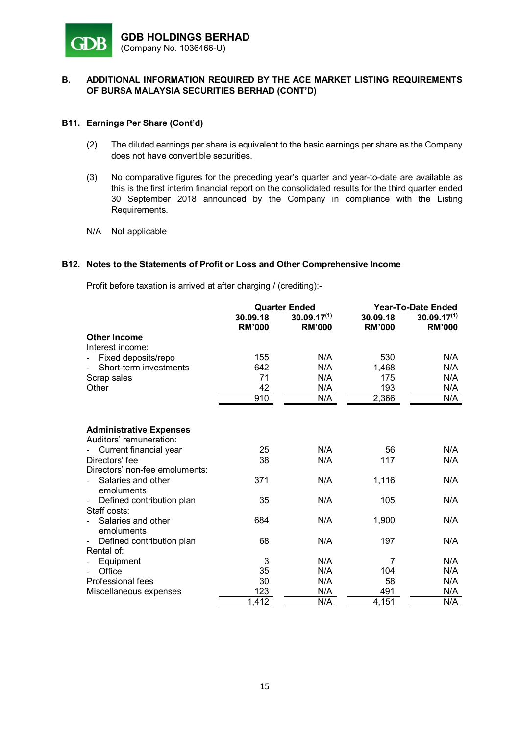

## **B11. Earnings Per Share (Cont'd)**

- (2) The diluted earnings per share is equivalent to the basic earnings per share as the Company does not have convertible securities.
- (3) No comparative figures for the preceding year's quarter and year-to-date are available as this is the first interim financial report on the consolidated results for the third quarter ended 30 September 2018 announced by the Company in compliance with the Listing Requirements.
- N/A Not applicable

## **B12. Notes to the Statements of Profit or Loss and Other Comprehensive Income**

Profit before taxation is arrived at after charging / (crediting):-

|                                  | <b>Quarter Ended</b>      |                                   | Year-To-Date Ended        |                                   |
|----------------------------------|---------------------------|-----------------------------------|---------------------------|-----------------------------------|
|                                  | 30.09.18<br><b>RM'000</b> | $30.09.17^{(1)}$<br><b>RM'000</b> | 30.09.18<br><b>RM'000</b> | $30.09.17^{(1)}$<br><b>RM'000</b> |
| <b>Other Income</b>              |                           |                                   |                           |                                   |
| Interest income:                 |                           |                                   |                           |                                   |
| Fixed deposits/repo              | 155                       | N/A                               | 530                       | N/A                               |
| Short-term investments           | 642                       | N/A                               | 1,468                     | N/A                               |
| Scrap sales                      | 71                        | N/A                               | 175                       | N/A                               |
| Other                            | 42                        | N/A                               | 193                       | N/A                               |
|                                  | 910                       | N/A                               | 2,366                     | N/A                               |
|                                  |                           |                                   |                           |                                   |
| <b>Administrative Expenses</b>   |                           |                                   |                           |                                   |
| Auditors' remuneration:          |                           |                                   |                           |                                   |
| Current financial year           | 25                        | N/A                               | 56                        | N/A                               |
| Directors' fee                   | 38                        | N/A                               | 117                       | N/A                               |
| Directors' non-fee emoluments:   |                           |                                   |                           |                                   |
| Salaries and other<br>emoluments | 371                       | N/A                               | 1,116                     | N/A                               |
| Defined contribution plan        | 35                        | N/A                               | 105                       | N/A                               |
| Staff costs:                     |                           |                                   |                           |                                   |
| Salaries and other<br>emoluments | 684                       | N/A                               | 1,900                     | N/A                               |
| Defined contribution plan        | 68                        | N/A                               | 197                       | N/A                               |
| Rental of:                       |                           |                                   |                           |                                   |
| Equipment                        | 3                         | N/A                               | 7                         | N/A                               |
| Office                           | 35                        | N/A                               | 104                       | N/A                               |
| Professional fees                | 30                        | N/A                               | 58                        | N/A                               |
| Miscellaneous expenses           | 123                       | N/A                               | 491                       | N/A                               |
|                                  | 1,412                     | N/A                               | 4,151                     | N/A                               |